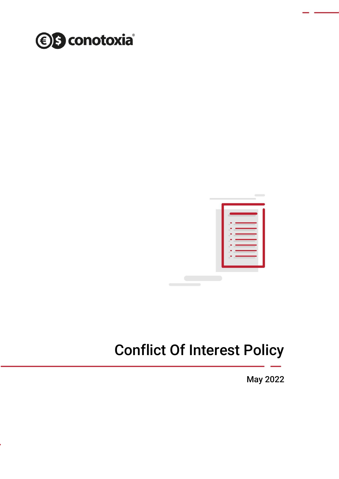



# Conflict Of Interest Policy

May 2022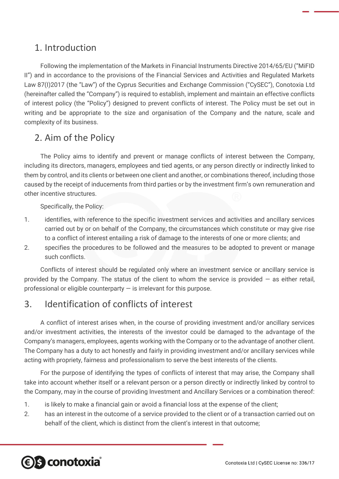## 1. Introduction

Following the implementation of the Markets in Financial Instruments Directive 2014/65/EU ("MiFID II") and in accordance to the provisions of the Financial Services and Activities and Regulated Markets Law 87(I)2017 (the "Law") of the Cyprus Securities and Exchange Commission ("CySEC"), Conotoxia Ltd (hereinafter called the "Company") is required to establish, implement and maintain an effective conflicts of interest policy (the "Policy") designed to prevent conflicts of interest. The Policy must be set out in writing and be appropriate to the size and organisation of the Company and the nature, scale and complexity of its business.

## 2. Aim of the Policy

The Policy aims to identify and prevent or manage conflicts of interest between the Company, including its directors, managers, employees and tied agents, or any person directly or indirectly linked to them by control, and its clients or between one client and another, or combinations thereof, including those caused by the receipt of inducements from third parties or by the investment firm's own remuneration and other incentive structures.

Specifically, the Policy:

- 1. identifies, with reference to the specific investment services and activities and ancillary services carried out by or on behalf of the Company, the circumstances which constitute or may give rise to a conflict of interest entailing a risk of damage to the interests of one or more clients; and
- 2. specifies the procedures to be followed and the measures to be adopted to prevent or manage such conflicts.

Conflicts of interest should be regulated only where an investment service or ancillary service is provided by the Company. The status of the client to whom the service is provided  $-$  as either retail, professional or eligible counterparty  $-$  is irrelevant for this purpose.

## 3. Identification of conflicts of interest

A conflict of interest arises when, in the course of providing investment and/or ancillary services and/or investment activities, the interests of the investor could be damaged to the advantage of the Company's managers, employees, agents working with the Company or to the advantage of another client. The Company has a duty to act honestly and fairly in providing investment and/or ancillary services while acting with propriety, fairness and professionalism to serve the best interests of the clients.

For the purpose of identifying the types of conflicts of interest that may arise, the Company shall take into account whether itself or a relevant person or a person directly or indirectly linked by control to the Company, may in the course of providing Investment and Ancillary Services or a combination thereof:

- 1. is likely to make a financial gain or avoid a financial loss at the expense of the client;
- 2. has an interest in the outcome of a service provided to the client or of a transaction carried out on behalf of the client, which is distinct from the client's interest in that outcome;

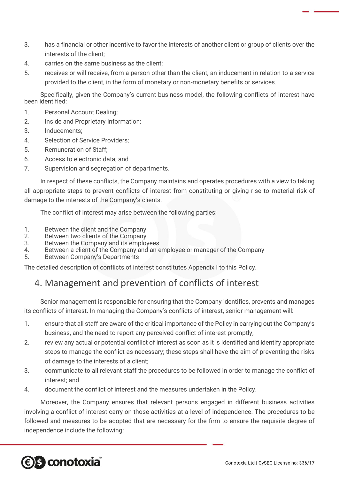- 3. has a financial or other incentive to favor the interests of another client or group of clients over the interests of the client;
- 4. carries on the same business as the client;
- 5. receives or will receive, from a person other than the client, an inducement in relation to a service provided to the client, in the form of monetary or non-monetary benefits or services.

Specifically, given the Company's current business model, the following conflicts of interest have been identified:

- 1. Personal Account Dealing;
- 2. Inside and Proprietary Information;
- 3. Inducements;
- 4. Selection of Service Providers;
- 5. Remuneration of Staff;
- 6. Access to electronic data; and
- 7. Supervision and segregation of departments.

In respect of these conflicts, the Company maintains and operates procedures with a view to taking all appropriate steps to prevent conflicts of interest from constituting or giving rise to material risk of damage to the interests of the Company's clients.

The conflict of interest may arise between the following parties:

- 1. Between the client and the Company
- 2. Between two clients of the Company<br>3. Between the Company and its employ
- Between the Company and its employees
- 4. Between a client of the Company and an employee or manager of the Company
- 5. Between Company's Departments

The detailed description of conflicts of interest constitutes Appendix I to this Policy.

## 4. Management and prevention of conflicts of interest

Senior management is responsible for ensuring that the Company identifies, prevents and manages its conflicts of interest. In managing the Company's conflicts of interest, senior management will:

- 1. ensure that all staff are aware of the critical importance of the Policy in carrying out the Company's business, and the need to report any perceived conflict of interest promptly;
- 2. review any actual or potential conflict of interest as soon as it is identified and identify appropriate steps to manage the conflict as necessary; these steps shall have the aim of preventing the risks of damage to the interests of a client;
- 3. communicate to all relevant staff the procedures to be followed in order to manage the conflict of interest; and
- 4. document the conflict of interest and the measures undertaken in the Policy.

Moreover, the Company ensures that relevant persons engaged in different business activities involving a conflict of interest carry on those activities at a level of independence. The procedures to be followed and measures to be adopted that are necessary for the firm to ensure the requisite degree of independence include the following:

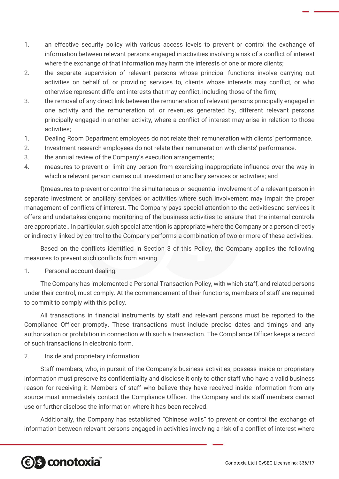- 1. an effective security policy with various access levels to prevent or control the exchange of information between relevant persons engaged in activities involving a risk of a conflict of interest where the exchange of that information may harm the interests of one or more clients;
- 2. the separate supervision of relevant persons whose principal functions involve carrying out activities on behalf of, or providing services to, clients whose interests may conflict, or who otherwise represent different interests that may conflict, including those of the firm;
- 3. the removal of any direct link between the remuneration of relevant persons principally engaged in one activity and the remuneration of, or revenues generated by, different relevant persons principally engaged in another activity, where a conflict of interest may arise in relation to those activities;
- 1. Dealing Room Department employees do not relate their remuneration with clients' performance.
- 2. Investment research employees do not relate their remuneration with clients' performance.
- 3. the annual review of the Company's execution arrangements;
- 4. measures to prevent or limit any person from exercising inappropriate influence over the way in which a relevant person carries out investment or ancillary services or activities; and

f)measures to prevent or control the simultaneous or sequential involvement of a relevant person in separate investment or ancillary services or activities where such involvement may impair the proper management of conflicts of interest. The Company pays special attention to the activitiesand services it offers and undertakes ongoing monitoring of the business activities to ensure that the internal controls are appropriate.. In particular, such special attention is appropriate where the Company or a person directly or indirectly linked by control to the Company performs a combination of two or more of these activities.

Based on the conflicts identified in Section 3 of this Policy, the Company applies the following measures to prevent such conflicts from arising.

1. Personal account dealing:

The Company has implemented a Personal Transaction Policy, with which staff, and related persons under their control, must comply. At the commencement of their functions, members of staff are required to commit to comply with this policy.

All transactions in financial instruments by staff and relevant persons must be reported to the Compliance Officer promptly. These transactions must include precise dates and timings and any authorization or prohibition in connection with such a transaction. The Compliance Officer keeps a record of such transactions in electronic form.

2. Inside and proprietary information:

Staff members, who, in pursuit of the Company's business activities, possess inside or proprietary information must preserve its confidentiality and disclose it only to other staff who have a valid business reason for receiving it. Members of staff who believe they have received inside information from any source must immediately contact the Compliance Officer. The Company and its staff members cannot use or further disclose the information where it has been received.

Additionally, the Company has established "Chinese walls" to prevent or control the exchange of information between relevant persons engaged in activities involving a risk of a conflict of interest where

## *S* conotoxia®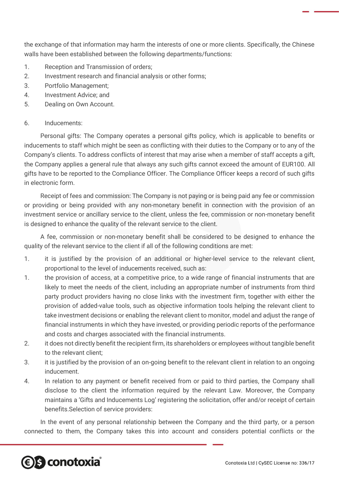the exchange of that information may harm the interests of one or more clients. Specifically, the Chinese walls have been established between the following departments/functions:

- 1. Reception and Transmission of orders;
- 2. Investment research and financial analysis or other forms;
- 3. Portfolio Management;
- 4. Investment Advice; and
- 5. Dealing on Own Account.

#### 6. Inducements:

Personal gifts: The Company operates a personal gifts policy, which is applicable to benefits or inducements to staff which might be seen as conflicting with their duties to the Company or to any of the Company's clients. To address conflicts of interest that may arise when a member of staff accepts a gift, the Company applies a general rule that always any such gifts cannot exceed the amount of EUR100. All gifts have to be reported to the Compliance Officer. The Compliance Officer keeps a record of such gifts in electronic form.

Receipt of fees and commission: The Company is not paying or is being paid any fee or commission or providing or being provided with any non-monetary benefit in connection with the provision of an investment service or ancillary service to the client, unless the fee, commission or non-monetary benefit is designed to enhance the quality of the relevant service to the client.

A fee, commission or non-monetary benefit shall be considered to be designed to enhance the quality of the relevant service to the client if all of the following conditions are met:

- 1. it is justified by the provision of an additional or higher-level service to the relevant client, proportional to the level of inducements received, such as:
- 1. the provision of access, at a competitive price, to a wide range of financial instruments that are likely to meet the needs of the client, including an appropriate number of instruments from third party product providers having no close links with the investment firm, together with either the provision of added-value tools, such as objective information tools helping the relevant client to take investment decisions or enabling the relevant client to monitor, model and adjust the range of financial instruments in which they have invested, or providing periodic reports of the performance and costs and charges associated with the financial instruments.
- 2. it does not directly benefit the recipient firm, its shareholders or employees without tangible benefit to the relevant client;
- 3. it is justified by the provision of an on-going benefit to the relevant client in relation to an ongoing inducement.
- 4. In relation to any payment or benefit received from or paid to third parties, the Company shall disclose to the client the information required by the relevant Law. Moreover, the Company maintains a 'Gifts and Inducements Log' registering the solicitation, offer and/or receipt of certain benefits.Selection of service providers:

In the event of any personal relationship between the Company and the third party, or a person connected to them, the Company takes this into account and considers potential conflicts or the

## *<b>€S* conotoxia®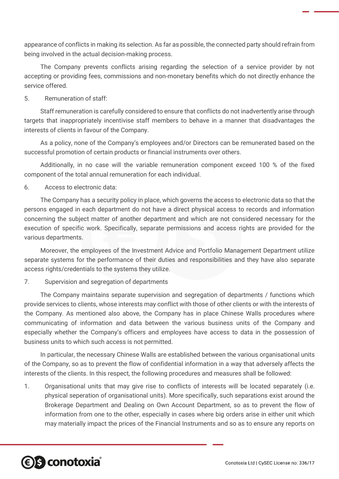appearance of conflicts in making its selection. As far as possible, the connected party should refrain from being involved in the actual decision-making process.

The Company prevents conflicts arising regarding the selection of a service provider by not accepting or providing fees, commissions and non-monetary benefits which do not directly enhance the service offered.

#### 5. Remuneration of staff:

Staff remuneration is carefully considered to ensure that conflicts do not inadvertently arise through targets that inappropriately incentivise staff members to behave in a manner that disadvantages the interests of clients in favour of the Company.

As a policy, none of the Company's employees and/or Directors can be remunerated based on the successful promotion of certain products or financial instruments over others.

Additionally, in no case will the variable remuneration component exceed 100 % of the fixed component of the total annual remuneration for each individual.

6. Access to electronic data:

The Company has a security policy in place, which governs the access to electronic data so that the persons engaged in each department do not have a direct physical access to records and information concerning the subject matter of another department and which are not considered necessary for the execution of specific work. Specifically, separate permissions and access rights are provided for the various departments.

Moreover, the employees of the Investment Advice and Portfolio Management Department utilize separate systems for the performance of their duties and responsibilities and they have also separate access rights/credentials to the systems they utilize.

#### 7. Supervision and segregation of departments

The Company maintains separate supervision and segregation of departments / functions which provide services to clients, whose interests may conflict with those of other clients or with the interests of the Company. As mentioned also above, the Company has in place Chinese Walls procedures where communicating of information and data between the various business units of the Company and especially whether the Company's officers and employees have access to data in the possession of business units to which such access is not permitted.

In particular, the necessary Chinese Walls are established between the various organisational units of the Company, so as to prevent the flow of confidential information in a way that adversely affects the interests of the clients. In this respect, the following procedures and measures shall be followed:

1. Organisational units that may give rise to conflicts of interests will be located separately (i.e. physical seperation of organisational units). More specifically, such separations exist around the Brokerage Department and Dealing on Own Account Department, so as to prevent the flow of information from one to the other, especially in cases where big orders arise in either unit which may materially impact the prices of the Financial Instruments and so as to ensure any reports on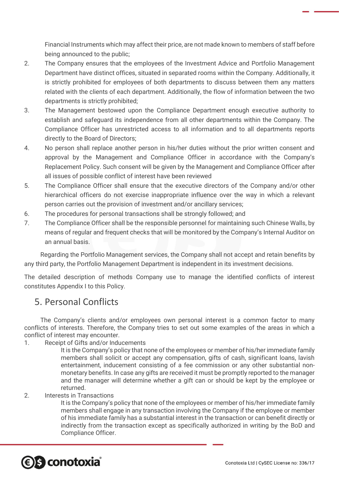Financial Instruments which may affect their price, are not made known to members of staff before being announced to the public;

- 2. The Company ensures that the employees of the Investment Advice and Portfolio Management Department have distinct offices, situated in separated rooms within the Company. Additionally, it is strictly prohibited for employees of both departments to discuss between them any matters related with the clients of each department. Additionally, the flow of information between the two departments is strictly prohibited;
- 3. The Management bestowed upon the Compliance Department enough executive authority to establish and safeguard its independence from all other departments within the Company. The Compliance Officer has unrestricted access to all information and to all departments reports directly to the Board of Directors;
- 4. No person shall replace another person in his/her duties without the prior written consent and approval by the Management and Compliance Officer in accordance with the Company's Replacement Policy. Such consent will be given by the Management and Compliance Officer after all issues of possible conflict of interest have been reviewed
- 5. The Compliance Officer shall ensure that the executive directors of the Company and/or other hierarchical officers do not exercise inappropriate influence over the way in which a relevant person carries out the provision of investment and/or ancillary services;
- 6. The procedures for personal transactions shall be strongly followed; and
- 7. The Compliance Officer shall be the responsible personnel for maintaining such Chinese Walls, by means of regular and frequent checks that will be monitored by the Company's Internal Auditor on an annual basis.

Regarding the Portfolio Management services, the Company shall not accept and retain benefits by any third party, the Portfolio Management Department is independent in its investment decisions.

The detailed description of methods Company use to manage the identified conflicts of interest constitutes Appendix I to this Policy.

## 5. Personal Conflicts

The Company's clients and/or employees own personal interest is a common factor to many conflicts of interests. Therefore, the Company tries to set out some examples of the areas in which a conflict of interest may encounter.

1. Receipt of Gifts and/or Inducements

It is the Company's policy that none of the employees or member of his/her immediate family members shall solicit or accept any compensation, gifts of cash, significant loans, lavish entertainment, inducement consisting of a fee commission or any other substantial nonmonetary benefits. In case any gifts are received it must be promptly reported to the manager and the manager will determine whether a gift can or should be kept by the employee or returned.

2. Interests in Transactions

It is the Company's policy that none of the employees or member of his/her immediate family members shall engage in any transaction involving the Company if the employee or member of his immediate family has a substantial interest in the transaction or can benefit directly or indirectly from the transaction except as specifically authorized in writing by the BoD and Compliance Officer.

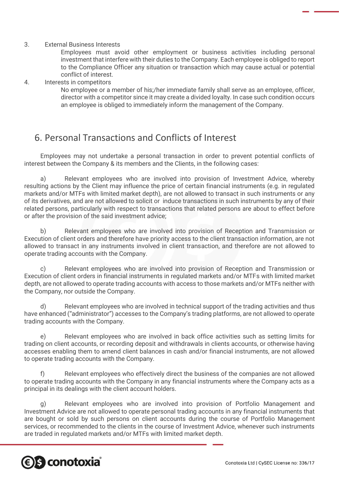#### 3. External Business Interests

Employees must avoid other employment or business activities including personal investment that interfere with their duties to the Company. Each employee is obliged to report to the Compliance Officer any situation or transaction which may cause actual or potential conflict of interest.

#### 4. Interests in competitors

No employee or a member of his;/her immediate family shall serve as an employee, officer, director with a competitor since it may create a divided loyalty. In case such condition occurs an employee is obliged to immediately inform the management of the Company.

## 6. Personal Transactions and Conflicts of Interest

Employees may not undertake a personal transaction in order to prevent potential conflicts of interest between the Company & its members and the Clients, in the following cases:

a) Relevant employees who are involved into provision of Investment Advice, whereby resulting actions by the Client may influence the price of certain financial instruments (e.g. in regulated markets and/or MTFs with limited market depth), are not allowed to transact in such instruments or any of its derivatives, and are not allowed to solicit or induce transactions in such instruments by any of their related persons, particularly with respect to transactions that related persons are about to effect before or after the provision of the said investment advice;

b) Relevant employees who are involved into provision of Reception and Transmission or Execution of client orders and therefore have priority access to the client transaction information, are not allowed to transact in any instruments involved in client transaction, and therefore are not allowed to operate trading accounts with the Company.

c) Relevant employees who are involved into provision of Reception and Transmission or Execution of client orders in financial instruments in regulated markets and/or MTFs with limited market depth, are not allowed to operate trading accounts with access to those markets and/or MTFs neither with the Company, nor outside the Company.

d) Relevant employees who are involved in technical support of the trading activities and thus have enhanced ("administrator") accesses to the Company's trading platforms, are not allowed to operate trading accounts with the Company.

e) Relevant employees who are involved in back office activities such as setting limits for trading on client accounts, or recording deposit and withdrawals in clients accounts, or otherwise having accesses enabling them to amend client balances in cash and/or financial instruments, are not allowed to operate trading accounts with the Company.

f) Relevant employees who effectively direct the business of the companies are not allowed to operate trading accounts with the Company in any financial instruments where the Company acts as a principal in its dealings with the client account holders.

g) Relevant employees who are involved into provision of Portfolio Management and Investment Advice are not allowed to operate personal trading accounts in any financial instruments that are bought or sold by such persons on client accounts during the course of Portfolio Management services, or recommended to the clients in the course of Investment Advice, whenever such instruments are traded in regulated markets and/or MTFs with limited market depth.

## **e s conotoxia**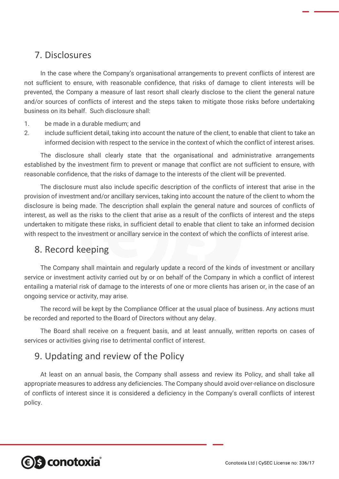## 7. Disclosures

In the case where the Company's organisational arrangements to prevent conflicts of interest are not sufficient to ensure, with reasonable confidence, that risks of damage to client interests will be prevented, the Company a measure of last resort shall clearly disclose to the client the general nature and/or sources of conflicts of interest and the steps taken to mitigate those risks before undertaking business on its behalf. Such disclosure shall:

- 1. be made in a durable medium; and
- 2. include sufficient detail, taking into account the nature of the client, to enable that client to take an informed decision with respect to the service in the context of which the conflict of interest arises.

The disclosure shall clearly state that the organisational and administrative arrangements established by the investment firm to prevent or manage that conflict are not sufficient to ensure, with reasonable confidence, that the risks of damage to the interests of the client will be prevented.

The disclosure must also include specific description of the conflicts of interest that arise in the provision of investment and/or ancillary services, taking into account the nature of the client to whom the disclosure is being made. The description shall explain the general nature and sources of conflicts of interest, as well as the risks to the client that arise as a result of the conflicts of interest and the steps undertaken to mitigate these risks, in sufficient detail to enable that client to take an informed decision with respect to the investment or ancillary service in the context of which the conflicts of interest arise.

## 8. Record keeping

The Company shall maintain and regularly update a record of the kinds of investment or ancillary service or investment activity carried out by or on behalf of the Company in which a conflict of interest entailing a material risk of damage to the interests of one or more clients has arisen or, in the case of an ongoing service or activity, may arise.

The record will be kept by the Compliance Officer at the usual place of business. Any actions must be recorded and reported to the Board of Directors without any delay.

The Board shall receive on a frequent basis, and at least annually, written reports on cases of services or activities giving rise to detrimental conflict of interest.

## 9. Updating and review of the Policy

At least on an annual basis, the Company shall assess and review its Policy, and shall take all appropriate measures to address any deficiencies. The Company should avoid over-reliance on disclosure of conflicts of interest since it is considered a deficiency in the Company's overall conflicts of interest policy.

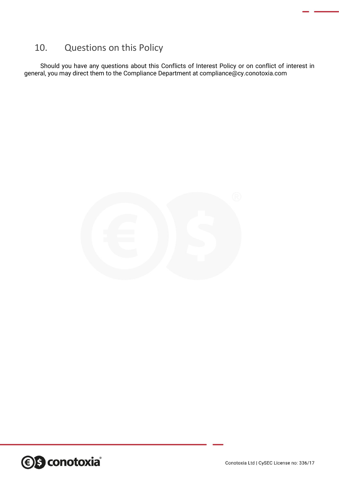## 10. Questions on this Policy

Should you have any questions about this Conflicts of Interest Policy or on conflict of interest in general, you may direct them to the Compliance Department at compliance@cy.conotoxia.com



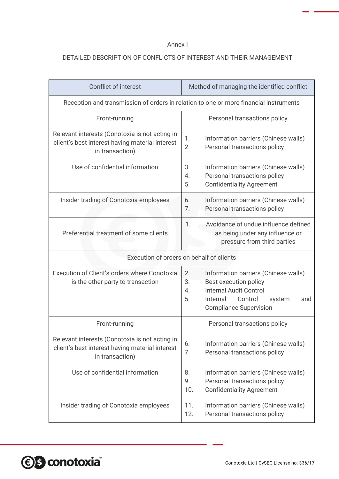#### Annex I

#### DETAILED DESCRIPTION OF CONFLICTS OF INTEREST AND THEIR MANAGEMENT

| <b>Conflict of interest</b>                                                                                          | Method of managing the identified conflict                                                                                                                                                      |  |
|----------------------------------------------------------------------------------------------------------------------|-------------------------------------------------------------------------------------------------------------------------------------------------------------------------------------------------|--|
| Reception and transmission of orders in relation to one or more financial instruments                                |                                                                                                                                                                                                 |  |
| Front-running                                                                                                        | Personal transactions policy                                                                                                                                                                    |  |
| Relevant interests (Conotoxia is not acting in<br>client's best interest having material interest<br>in transaction) | Information barriers (Chinese walls)<br>1.<br>2.<br>Personal transactions policy                                                                                                                |  |
| Use of confidential information                                                                                      | 3.<br>Information barriers (Chinese walls)<br>Personal transactions policy<br>4.<br>5.<br><b>Confidentiality Agreement</b>                                                                      |  |
| Insider trading of Conotoxia employees                                                                               | Information barriers (Chinese walls)<br>6.<br>7.<br>Personal transactions policy                                                                                                                |  |
| Preferential treatment of some clients                                                                               | Avoidance of undue influence defined<br>1.<br>as being under any influence or<br>pressure from third parties                                                                                    |  |
| Execution of orders on behalf of clients                                                                             |                                                                                                                                                                                                 |  |
| Execution of Client's orders where Conotoxia<br>is the other party to transaction                                    | 2.<br>Information barriers (Chinese walls)<br>3.<br>Best execution policy<br><b>Internal Audit Control</b><br>4.<br>5.<br>Internal<br>Control<br>system<br>and<br><b>Compliance Supervision</b> |  |
| Front-running                                                                                                        | Personal transactions policy                                                                                                                                                                    |  |
| Relevant interests (Conotoxia is not acting in<br>client's best interest having material interest<br>in transaction) | Information barriers (Chinese walls)<br>6.<br>7.<br>Personal transactions policy                                                                                                                |  |
|                                                                                                                      |                                                                                                                                                                                                 |  |
| Use of confidential information                                                                                      | Information barriers (Chinese walls)<br>8.<br>Personal transactions policy<br>9.<br>10.<br><b>Confidentiality Agreement</b>                                                                     |  |

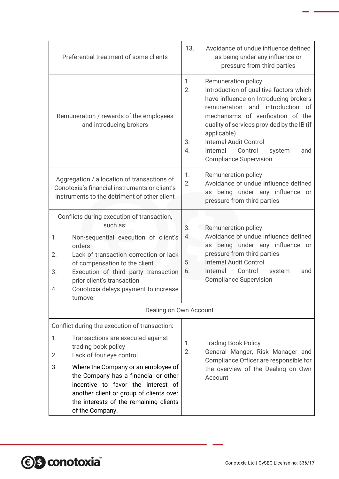| Preferential treatment of some clients                                                                                                                                                                                                                                                                                                |                                    | 13.<br>Avoidance of undue influence defined<br>as being under any influence or<br>pressure from third parties                                                                                                                                                                                                                                              |
|---------------------------------------------------------------------------------------------------------------------------------------------------------------------------------------------------------------------------------------------------------------------------------------------------------------------------------------|------------------------------------|------------------------------------------------------------------------------------------------------------------------------------------------------------------------------------------------------------------------------------------------------------------------------------------------------------------------------------------------------------|
| Remuneration / rewards of the employees<br>and introducing brokers                                                                                                                                                                                                                                                                    | 1.<br>2.<br>3.<br>$\overline{4}$ . | Remuneration policy<br>Introduction of qualitive factors which<br>have influence on Introducing brokers<br>remuneration and introduction<br>of<br>mechanisms of verification of the<br>quality of services provided by the IB (if<br>applicable)<br><b>Internal Audit Control</b><br>Internal<br>Control<br>system<br>and<br><b>Compliance Supervision</b> |
| Aggregation / allocation of transactions of<br>Conotoxia's financial instruments or client's<br>instruments to the detriment of other client                                                                                                                                                                                          | 1.<br>2.                           | Remuneration policy<br>Avoidance of undue influence defined<br>being under any influence or<br>as<br>pressure from third parties                                                                                                                                                                                                                           |
| Conflicts during execution of transaction,<br>such as:<br>Non-sequential execution of client's<br>1.<br>orders<br>Lack of transaction correction or lack<br>2.<br>of compensation to the client<br>Execution of third party transaction<br>3.<br>prior client's transaction<br>Conotoxia delays payment to increase<br>4.<br>turnover | 3.<br>4.<br>5.<br>6.               | Remuneration policy<br>Avoidance of undue influence defined<br>being under any influence or<br>as<br>pressure from third parties<br><b>Internal Audit Control</b><br>Control<br>Internal<br>system<br>and<br><b>Compliance Supervision</b>                                                                                                                 |
| Dealing on Own Account                                                                                                                                                                                                                                                                                                                |                                    |                                                                                                                                                                                                                                                                                                                                                            |
| Conflict during the execution of transaction:                                                                                                                                                                                                                                                                                         |                                    |                                                                                                                                                                                                                                                                                                                                                            |
| 1.<br>Transactions are executed against<br>trading book policy<br>Lack of four eye control<br>2.                                                                                                                                                                                                                                      |                                    | <b>Trading Book Policy</b><br>1.<br>2.<br>General Manger, Risk Manager and<br>Compliance Officer are responsible for<br>the overview of the Dealing on Own<br>Account                                                                                                                                                                                      |
| 3.<br>Where the Company or an employee of<br>the Company has a financial or other<br>incentive to favor the interest of<br>another client or group of clients over<br>the interests of the remaining clients<br>of the Company.                                                                                                       |                                    |                                                                                                                                                                                                                                                                                                                                                            |

*S* conotoxia®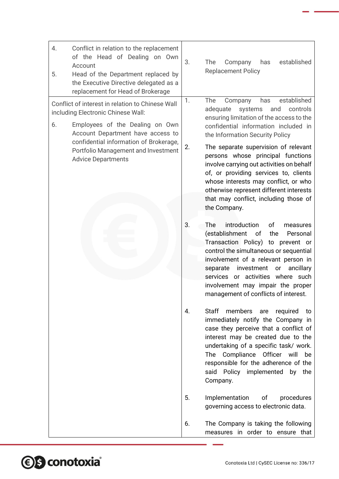| 4.<br>Conflict in relation to the replacement<br>of the Head of Dealing on Own<br>Account<br>Head of the Department replaced by<br>5.<br>the Executive Directive delegated as a<br>replacement for Head of Brokerage | 3.<br>The<br>Company<br>has<br>established<br><b>Replacement Policy</b>                                                                                                                                                                                                                                                                 |
|----------------------------------------------------------------------------------------------------------------------------------------------------------------------------------------------------------------------|-----------------------------------------------------------------------------------------------------------------------------------------------------------------------------------------------------------------------------------------------------------------------------------------------------------------------------------------|
| Conflict of interest in relation to Chinese Wall<br>including Electronic Chinese Wall:                                                                                                                               | 1.<br>The<br>established<br>has<br>Company<br>adequate<br>and<br>controls<br>systems                                                                                                                                                                                                                                                    |
| 6.<br>Employees of the Dealing on Own<br>Account Department have access to<br>confidential information of Brokerage,<br>Portfolio Management and Investment<br><b>Advice Departments</b>                             | ensuring limitation of the access to the<br>confidential information included in<br>the Information Security Policy                                                                                                                                                                                                                     |
|                                                                                                                                                                                                                      | 2.<br>The separate supervision of relevant<br>persons whose principal functions<br>involve carrying out activities on behalf<br>of, or providing services to, clients<br>whose interests may conflict, or who<br>otherwise represent different interests<br>that may conflict, including those of<br>the Company.                       |
|                                                                                                                                                                                                                      | introduction<br>3.<br>The<br>of<br>measures<br>(establishment<br>of<br>the<br>Personal<br>Transaction Policy) to prevent or<br>control the simultaneous or sequential<br>involvement of a relevant person in<br>separate<br>investment<br>ancillary<br>or<br>services or activities where such                                          |
|                                                                                                                                                                                                                      | involvement may impair the proper<br>management of conflicts of interest.                                                                                                                                                                                                                                                               |
|                                                                                                                                                                                                                      | Staff<br>members<br>4.<br>required<br>are<br>to<br>immediately notify the Company in<br>case they perceive that a conflict of<br>interest may be created due to the<br>undertaking of a specific task/ work.<br>Compliance Officer will be<br>The<br>responsible for the adherence of the<br>said Policy implemented by the<br>Company. |
|                                                                                                                                                                                                                      | 5.<br>Implementation<br>оf<br>procedures<br>governing access to electronic data.                                                                                                                                                                                                                                                        |
|                                                                                                                                                                                                                      | 6.<br>The Company is taking the following<br>measures in order to ensure that                                                                                                                                                                                                                                                           |

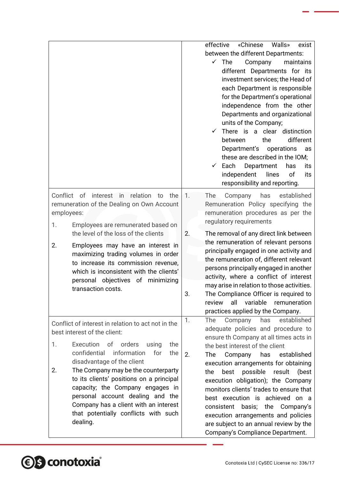|                                                                                 | «Chinese<br>effective<br>Walls»<br>exist                      |
|---------------------------------------------------------------------------------|---------------------------------------------------------------|
|                                                                                 | between the different Departments:                            |
|                                                                                 | The<br>maintains<br>$\checkmark$<br>Company                   |
|                                                                                 | different Departments for its                                 |
|                                                                                 | investment services; the Head of                              |
|                                                                                 | each Department is responsible                                |
|                                                                                 | for the Department's operational                              |
|                                                                                 | independence from the other                                   |
|                                                                                 | Departments and organizational                                |
|                                                                                 | units of the Company;                                         |
|                                                                                 | There is a clear distinction<br>$\checkmark$                  |
|                                                                                 | different<br>the<br>between                                   |
|                                                                                 | Department's<br>operations<br>as                              |
|                                                                                 | these are described in the IOM;                               |
|                                                                                 | Each<br>Department<br>has<br>$\checkmark$<br>its              |
|                                                                                 | independent<br>lines<br>of<br>its                             |
|                                                                                 | responsibility and reporting.                                 |
| Conflict of<br>interest in<br>relation<br>the<br>to                             | $\mathbf{1}$ .<br>has<br>established<br><b>The</b><br>Company |
| remuneration of the Dealing on Own Account                                      | Remuneration Policy specifying the                            |
| employees:                                                                      | remuneration procedures as per the                            |
| Employees are remunerated based on<br>1.                                        | regulatory requirements                                       |
| the level of the loss of the clients                                            | 2.<br>The removal of any direct link between                  |
|                                                                                 | the remuneration of relevant persons                          |
| 2.<br>Employees may have an interest in<br>maximizing trading volumes in order  | principally engaged in one activity and                       |
| to increase its commission revenue,                                             | the remuneration of, different relevant                       |
| which is inconsistent with the clients'                                         | persons principally engaged in another                        |
| personal objectives of minimizing                                               | activity, where a conflict of interest                        |
| transaction costs.                                                              | may arise in relation to those activities.                    |
|                                                                                 | 3.<br>The Compliance Officer is required to                   |
|                                                                                 | all<br>variable<br>review<br>remuneration                     |
|                                                                                 | practices applied by the Company.                             |
| Conflict of interest in relation to act not in the                              | established<br>has<br>1.<br>The<br>Company                    |
| best interest of the client:                                                    | adequate policies and procedure to                            |
|                                                                                 | ensure th Company at all times acts in                        |
| of<br>orders<br>1.<br>Execution<br>the<br>using                                 | the best interest of the client                               |
| confidential<br>information<br>for<br>the                                       | 2.<br>The<br>Company<br>has<br>established                    |
| disadvantage of the client<br>2.                                                | execution arrangements for obtaining                          |
| The Company may be the counterparty<br>to its clients' positions on a principal | possible<br>best<br>result<br>(best<br>the                    |
| capacity; the Company engages in                                                | execution obligation); the Company                            |
| personal account dealing and the                                                | monitors clients' trades to ensure that                       |
| Company has a client with an interest                                           | best execution is achieved on a                               |
| that potentially conflicts with such                                            | consistent basis; the Company's                               |
| dealing.                                                                        | execution arrangements and policies                           |
|                                                                                 | are subject to an annual review by the                        |
|                                                                                 | Company's Compliance Department.                              |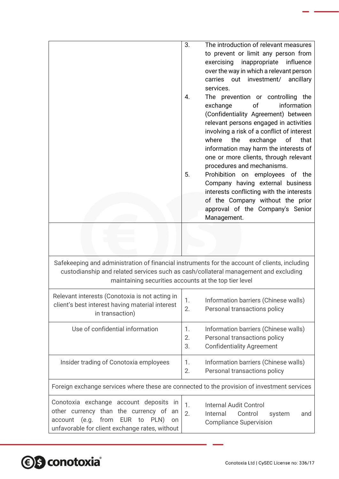|                                                                                                                                                                                                                                               | The introduction of relevant measures<br>3.<br>to prevent or limit any person from<br>exercising<br>influence<br>inappropriate<br>over the way in which a relevant person<br>carries out<br>investment/ ancillary<br>services.<br>The prevention or controlling the<br>4.<br>information<br>exchange<br>of<br>(Confidentiality Agreement) between<br>relevant persons engaged in activities<br>involving a risk of a conflict of interest<br>where<br>the<br>exchange<br>that<br>of<br>information may harm the interests of<br>one or more clients, through relevant<br>procedures and mechanisms.<br>Prohibition on employees of the<br>5.<br>Company having external business<br>interests conflicting with the interests |  |
|-----------------------------------------------------------------------------------------------------------------------------------------------------------------------------------------------------------------------------------------------|------------------------------------------------------------------------------------------------------------------------------------------------------------------------------------------------------------------------------------------------------------------------------------------------------------------------------------------------------------------------------------------------------------------------------------------------------------------------------------------------------------------------------------------------------------------------------------------------------------------------------------------------------------------------------------------------------------------------------|--|
|                                                                                                                                                                                                                                               | of the Company without the prior<br>approval of the Company's Senior<br>Management.                                                                                                                                                                                                                                                                                                                                                                                                                                                                                                                                                                                                                                          |  |
|                                                                                                                                                                                                                                               |                                                                                                                                                                                                                                                                                                                                                                                                                                                                                                                                                                                                                                                                                                                              |  |
| Safekeeping and administration of financial instruments for the account of clients, including<br>custodianship and related services such as cash/collateral management and excluding<br>maintaining securities accounts at the top tier level |                                                                                                                                                                                                                                                                                                                                                                                                                                                                                                                                                                                                                                                                                                                              |  |
| Relevant interests (Conotoxia is not acting in<br>client's best interest having material interest<br>in transaction)                                                                                                                          | 1.<br>Information barriers (Chinese walls)<br>Personal transactions policy<br>2.                                                                                                                                                                                                                                                                                                                                                                                                                                                                                                                                                                                                                                             |  |
| Use of confidential information                                                                                                                                                                                                               | Information barriers (Chinese walls)<br>1.<br>Personal transactions policy<br>2.<br>3.<br><b>Confidentiality Agreement</b>                                                                                                                                                                                                                                                                                                                                                                                                                                                                                                                                                                                                   |  |
| Insider trading of Conotoxia employees                                                                                                                                                                                                        | 1.<br>Information barriers (Chinese walls)<br>2.<br>Personal transactions policy                                                                                                                                                                                                                                                                                                                                                                                                                                                                                                                                                                                                                                             |  |
|                                                                                                                                                                                                                                               | Foreign exchange services where these are connected to the provision of investment services                                                                                                                                                                                                                                                                                                                                                                                                                                                                                                                                                                                                                                  |  |
| Conotoxia exchange account deposits in<br>other currency than the currency of<br>an<br>from EUR to<br>(e.g.<br>PLN)<br>account<br>on<br>unfavorable for client exchange rates, without                                                        | <b>Internal Audit Control</b><br>1.<br>2.<br>Internal<br>Control<br>system<br>and<br><b>Compliance Supervision</b>                                                                                                                                                                                                                                                                                                                                                                                                                                                                                                                                                                                                           |  |